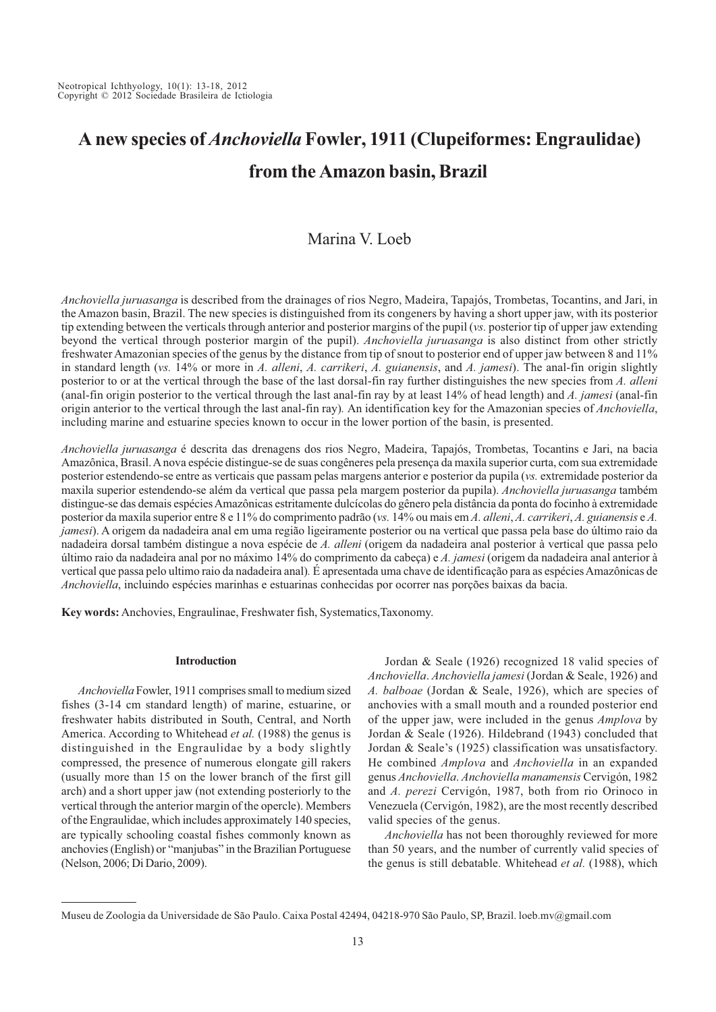# **A new species of** *Anchoviella* **Fowler, 1911 (Clupeiformes: Engraulidae) from the Amazon basin, Brazil**

## Marina V. Loeb

*Anchoviella juruasanga* is described from the drainages of rios Negro, Madeira, Tapajós, Trombetas, Tocantins, and Jari, in the Amazon basin, Brazil. The new species is distinguished from its congeners by having a short upper jaw, with its posterior tip extending between the verticals through anterior and posterior margins of the pupil (*vs.* posterior tip of upper jaw extending beyond the vertical through posterior margin of the pupil). *Anchoviella juruasanga* is also distinct from other strictly freshwater Amazonian species of the genus by the distance from tip of snout to posterior end of upper jaw between 8 and 11% in standard length (*vs.* 14% or more in *A. alleni*, *A. carrikeri*, *A. guianensis*, and *A. jamesi*). The anal-fin origin slightly posterior to or at the vertical through the base of the last dorsal-fin ray further distinguishes the new species from *A. alleni* (anal-fin origin posterior to the vertical through the last anal-fin ray by at least 14% of head length) and *A. jamesi* (anal-fin origin anterior to the vertical through the last anal-fin ray)*.* An identification key for the Amazonian species of *Anchoviella*, including marine and estuarine species known to occur in the lower portion of the basin, is presented.

*Anchoviella juruasanga* é descrita das drenagens dos rios Negro, Madeira, Tapajós, Trombetas, Tocantins e Jari, na bacia Amazônica, Brasil. A nova espécie distingue-se de suas congêneres pela presença da maxila superior curta, com sua extremidade posterior estendendo-se entre as verticais que passam pelas margens anterior e posterior da pupila (*vs.* extremidade posterior da maxila superior estendendo-se além da vertical que passa pela margem posterior da pupila). *Anchoviella juruasanga* também distingue-se das demais espécies Amazônicas estritamente dulcícolas do gênero pela distância da ponta do focinho à extremidade posterior da maxila superior entre 8 e 11% do comprimento padrão (*vs.* 14% ou mais em *A. alleni*, *A. carrikeri*, *A. guianensis* e *A. jamesi*). A origem da nadadeira anal em uma região ligeiramente posterior ou na vertical que passa pela base do último raio da nadadeira dorsal também distingue a nova espécie de *A. alleni* (origem da nadadeira anal posterior à vertical que passa pelo último raio da nadadeira anal por no máximo 14% do comprimento da cabeça) e *A. jamesi* (origem da nadadeira anal anterior à vertical que passa pelo ultimo raio da nadadeira anal)*.* É apresentada uma chave de identificação para as espécies Amazônicas de *Anchoviella*, incluindo espécies marinhas e estuarinas conhecidas por ocorrer nas porções baixas da bacia.

**Key words:** Anchovies, Engraulinae, Freshwater fish, Systematics,Taxonomy.

#### **Introduction**

*Anchoviella* Fowler, 1911 comprises small to medium sized fishes (3-14 cm standard length) of marine, estuarine, or freshwater habits distributed in South, Central, and North America. According to Whitehead *et al.* (1988) the genus is distinguished in the Engraulidae by a body slightly compressed, the presence of numerous elongate gill rakers (usually more than 15 on the lower branch of the first gill arch) and a short upper jaw (not extending posteriorly to the vertical through the anterior margin of the opercle). Members of the Engraulidae, which includes approximately 140 species, are typically schooling coastal fishes commonly known as anchovies (English) or "manjubas" in the Brazilian Portuguese (Nelson, 2006; Di Dario, 2009).

Jordan & Seale (1926) recognized 18 valid species of *Anchoviella*. *Anchoviella jamesi* (Jordan & Seale, 1926) and *A. balboae* (Jordan & Seale, 1926), which are species of anchovies with a small mouth and a rounded posterior end of the upper jaw, were included in the genus *Amplova* by Jordan & Seale (1926). Hildebrand (1943) concluded that Jordan & Seale's (1925) classification was unsatisfactory. He combined *Amplova* and *Anchoviella* in an expanded genus *Anchoviella*. *Anchoviella manamensis* Cervigón, 1982 and *A. perezi* Cervigón, 1987, both from rio Orinoco in Venezuela (Cervigón, 1982), are the most recently described valid species of the genus.

*Anchoviella* has not been thoroughly reviewed for more than 50 years, and the number of currently valid species of the genus is still debatable. Whitehead *et al.* (1988), which

Museu de Zoologia da Universidade de São Paulo. Caixa Postal 42494, 04218-970 São Paulo, SP, Brazil. loeb.mv@gmail.com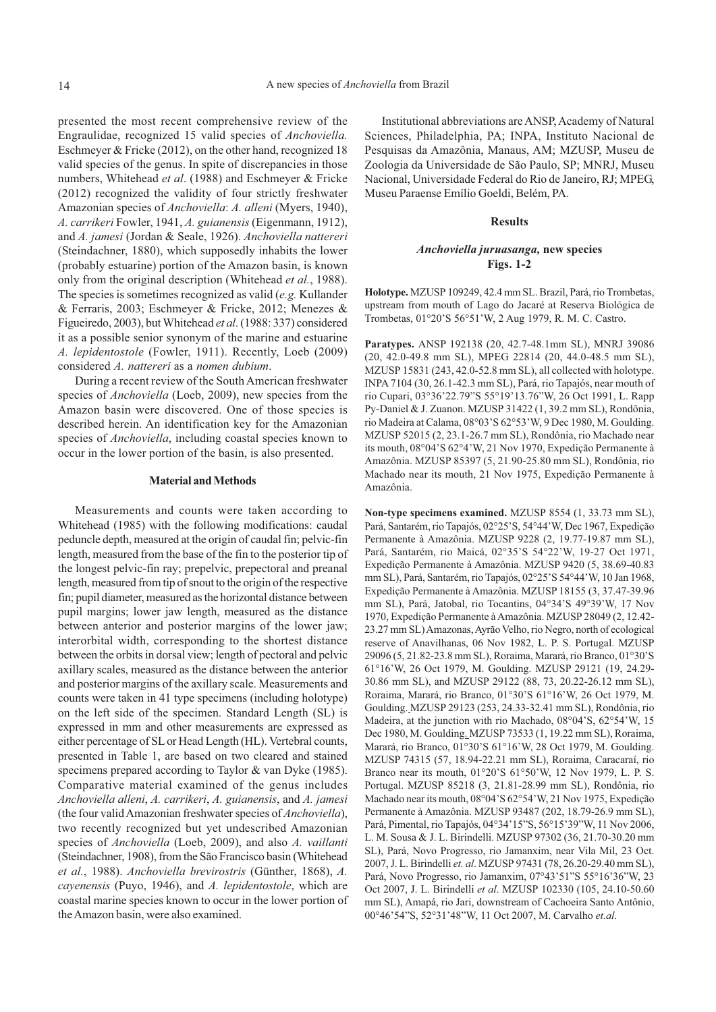presented the most recent comprehensive review of the Engraulidae, recognized 15 valid species of *Anchoviella.* Eschmeyer & Fricke (2012), on the other hand, recognized 18 valid species of the genus. In spite of discrepancies in those numbers, Whitehead *et al*. (1988) and Eschmeyer & Fricke (2012) recognized the validity of four strictly freshwater Amazonian species of *Anchoviella*: *A. alleni* (Myers, 1940), *A. carrikeri* Fowler, 1941, *A. guianensis* (Eigenmann, 1912), and *A. jamesi* (Jordan & Seale, 1926). *Anchoviella nattereri* (Steindachner, 1880), which supposedly inhabits the lower (probably estuarine) portion of the Amazon basin, is known only from the original description (Whitehead *et al.*, 1988). The species is sometimes recognized as valid (*e.g.* Kullander & Ferraris, 2003; Eschmeyer & Fricke, 2012; Menezes & Figueiredo, 2003), but Whitehead *et al*. (1988: 337) considered it as a possible senior synonym of the marine and estuarine *A. lepidentostole* (Fowler, 1911). Recently, Loeb (2009) considered *A. nattereri* as a *nomen dubium*.

During a recent review of the South American freshwater species of *Anchoviella* (Loeb, 2009), new species from the Amazon basin were discovered. One of those species is described herein. An identification key for the Amazonian species of *Anchoviella*, including coastal species known to occur in the lower portion of the basin, is also presented.

#### **Material and Methods**

Measurements and counts were taken according to Whitehead (1985) with the following modifications: caudal peduncle depth, measured at the origin of caudal fin; pelvic-fin length, measured from the base of the fin to the posterior tip of the longest pelvic-fin ray; prepelvic, prepectoral and preanal length, measured from tip of snout to the origin of the respective fin; pupil diameter, measured as the horizontal distance between pupil margins; lower jaw length, measured as the distance between anterior and posterior margins of the lower jaw; interorbital width, corresponding to the shortest distance between the orbits in dorsal view; length of pectoral and pelvic axillary scales, measured as the distance between the anterior and posterior margins of the axillary scale. Measurements and counts were taken in 41 type specimens (including holotype) on the left side of the specimen. Standard Length (SL) is expressed in mm and other measurements are expressed as either percentage of SL or Head Length (HL). Vertebral counts, presented in Table 1, are based on two cleared and stained specimens prepared according to Taylor & van Dyke (1985). Comparative material examined of the genus includes *Anchoviella alleni*, *A. carrikeri*, *A. guianensis*, and *A. jamesi* (the four valid Amazonian freshwater species of *Anchoviella*), two recently recognized but yet undescribed Amazonian species of *Anchoviella* (Loeb, 2009), and also *A. vaillanti* (Steindachner, 1908), from the São Francisco basin (Whitehead *et al.*, 1988). *Anchoviella brevirostris* (Günther, 1868), *A. cayenensis* (Puyo, 1946), and *A. lepidentostole*, which are coastal marine species known to occur in the lower portion of the Amazon basin, were also examined.

Institutional abbreviations are ANSP, Academy of Natural Sciences, Philadelphia, PA; INPA, Instituto Nacional de Pesquisas da Amazônia, Manaus, AM; MZUSP, Museu de Zoologia da Universidade de São Paulo, SP; MNRJ, Museu Nacional, Universidade Federal do Rio de Janeiro, RJ; MPEG, Museu Paraense Emílio Goeldi, Belém, PA.

#### **Results**

### *Anchoviella juruasanga,* **new species Figs. 1-2**

**Holotype.** MZUSP 109249, 42.4 mm SL. Brazil, Pará, rio Trombetas, upstream from mouth of Lago do Jacaré at Reserva Biológica de Trombetas, 01°20'S 56°51'W, 2 Aug 1979, R. M. C. Castro.

**Paratypes.** ANSP 192138 (20, 42.7-48.1mm SL), MNRJ 39086 (20, 42.0-49.8 mm SL), MPEG 22814 (20, 44.0-48.5 mm SL), MZUSP 15831 (243, 42.0-52.8 mm SL), all collected with holotype. INPA 7104 (30, 26.1-42.3 mm SL), Pará, rio Tapajós, near mouth of rio Cupari, 03°36'22.79"S 55°19'13.76"W, 26 Oct 1991, L. Rapp Py-Daniel & J. Zuanon. MZUSP 31422 (1, 39.2 mm SL), Rondônia, rio Madeira at Calama, 08°03'S 62°53'W, 9 Dec 1980, M. Goulding. MZUSP 52015 (2, 23.1-26.7 mm SL), Rondônia, rio Machado near its mouth, 08°04'S 62°4'W, 21 Nov 1970, Expedição Permanente à Amazônia. MZUSP 85397 (5, 21.90-25.80 mm SL), Rondônia, rio Machado near its mouth, 21 Nov 1975, Expedição Permanente à Amazônia.

**Non-type specimens examined.** MZUSP 8554 (1, 33.73 mm SL), Pará, Santarém, rio Tapajós, 02°25'S, 54°44'W, Dec 1967, Expedição Permanente à Amazônia. MZUSP 9228 (2, 19.77-19.87 mm SL), Pará, Santarém, rio Maicá, 02°35'S 54°22'W, 19-27 Oct 1971, Expedição Permanente à Amazônia. MZUSP 9420 (5, 38.69-40.83 mm SL), Pará, Santarém, rio Tapajós, 02°25'S 54°44'W, 10 Jan 1968, Expedição Permanente à Amazônia. MZUSP 18155 (3, 37.47-39.96 mm SL), Pará, Jatobal, rio Tocantins, 04°34'S 49°39'W, 17 Nov 1970, Expedição Permanente à Amazônia. MZUSP 28049 (2, 12.42- 23.27 mm SL) Amazonas, Ayrão Velho, rio Negro, north of ecological reserve of Anavilhanas, 06 Nov 1982, L. P. S. Portugal. MZUSP 29096 (5, 21.82-23.8 mm SL), Roraima, Marará, rio Branco, 01°30'S 61°16'W, 26 Oct 1979, M. Goulding. MZUSP 29121 (19, 24.29- 30.86 mm SL), and MZUSP 29122 (88, 73, 20.22-26.12 mm SL), Roraima, Marará, rio Branco, 01°30'S 61°16'W, 26 Oct 1979, M. Goulding. MZUSP 29123 (253, 24.33-32.41 mm SL), Rondônia, rio Madeira, at the junction with rio Machado, 08°04'S, 62°54'W, 15 Dec 1980, M. Goulding. MZUSP 73533 (1, 19.22 mm SL), Roraima, Marará, rio Branco, 01°30'S 61°16'W, 28 Oct 1979, M. Goulding. MZUSP 74315 (57, 18.94-22.21 mm SL), Roraima, Caracaraí, rio Branco near its mouth, 01°20'S 61°50'W, 12 Nov 1979, L. P. S. Portugal. MZUSP 85218 (3, 21.81-28.99 mm SL), Rondônia, rio Machado near its mouth, 08°04'S 62°54'W, 21 Nov 1975, Expedição Permanente à Amazônia. MZUSP 93487 (202, 18.79-26.9 mm SL), Pará, Pimental, rio Tapajós, 04°34'15"S, 56°15'39"W, 11 Nov 2006, L. M. Sousa & J. L. Birindelli. MZUSP 97302 (36, 21.70-30.20 mm SL), Pará, Novo Progresso, rio Jamanxim, near Vila Mil, 23 Oct. 2007, J. L. Birindelli *et. al*. MZUSP 97431 (78, 26.20-29.40 mm SL), Pará, Novo Progresso, rio Jamanxim, 07°43'51"S 55°16'36"W, 23 Oct 2007, J. L. Birindelli *et al*. MZUSP 102330 (105, 24.10-50.60 mm SL), Amapá, rio Jari, downstream of Cachoeira Santo Antônio, 00°46'54"S, 52°31'48"W, 11 Oct 2007, M. Carvalho *et.al*.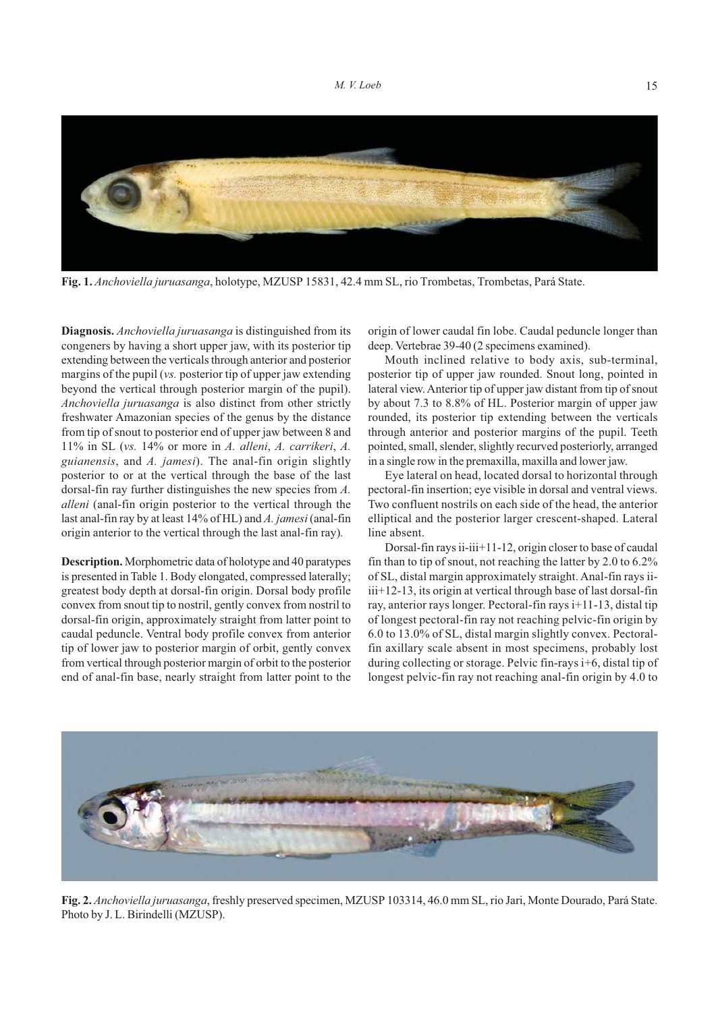

**Fig. 1.** *Anchoviella juruasanga*, holotype, MZUSP 15831, 42.4 mm SL, rio Trombetas, Trombetas, Pará State.

**Diagnosis.** *Anchoviella juruasanga* is distinguished from its congeners by having a short upper jaw, with its posterior tip extending between the verticals through anterior and posterior margins of the pupil (*vs.* posterior tip of upper jaw extending beyond the vertical through posterior margin of the pupil). *Anchoviella juruasanga* is also distinct from other strictly freshwater Amazonian species of the genus by the distance from tip of snout to posterior end of upper jaw between 8 and 11% in SL (*vs.* 14% or more in *A. alleni*, *A. carrikeri*, *A. guianensis*, and *A. jamesi*). The anal-fin origin slightly posterior to or at the vertical through the base of the last dorsal-fin ray further distinguishes the new species from *A. alleni* (anal-fin origin posterior to the vertical through the last anal-fin ray by at least 14% of HL) and *A. jamesi* (anal-fin origin anterior to the vertical through the last anal-fin ray)*.*

**Description.** Morphometric data of holotype and 40 paratypes is presented in Table 1. Body elongated, compressed laterally; greatest body depth at dorsal-fin origin. Dorsal body profile convex from snout tip to nostril, gently convex from nostril to dorsal-fin origin, approximately straight from latter point to caudal peduncle. Ventral body profile convex from anterior tip of lower jaw to posterior margin of orbit, gently convex from vertical through posterior margin of orbit to the posterior end of anal-fin base, nearly straight from latter point to the origin of lower caudal fin lobe. Caudal peduncle longer than deep. Vertebrae 39-40 (2 specimens examined).

Mouth inclined relative to body axis, sub-terminal, posterior tip of upper jaw rounded. Snout long, pointed in lateral view. Anterior tip of upper jaw distant from tip of snout by about 7.3 to 8.8% of HL. Posterior margin of upper jaw rounded, its posterior tip extending between the verticals through anterior and posterior margins of the pupil. Teeth pointed, small, slender, slightly recurved posteriorly, arranged in a single row in the premaxilla, maxilla and lower jaw.

Eye lateral on head, located dorsal to horizontal through pectoral-fin insertion; eye visible in dorsal and ventral views. Two confluent nostrils on each side of the head, the anterior elliptical and the posterior larger crescent-shaped. Lateral line absent.

Dorsal-fin rays ii-iii+11-12, origin closer to base of caudal fin than to tip of snout, not reaching the latter by 2.0 to 6.2% of SL, distal margin approximately straight. Anal-fin rays iiiii+12-13, its origin at vertical through base of last dorsal-fin ray, anterior rays longer. Pectoral-fin rays i+11-13, distal tip of longest pectoral-fin ray not reaching pelvic-fin origin by 6.0 to 13.0% of SL, distal margin slightly convex. Pectoralfin axillary scale absent in most specimens, probably lost during collecting or storage. Pelvic fin-rays i+6, distal tip of longest pelvic-fin ray not reaching anal-fin origin by 4.0 to



**Fig. 2.** *Anchoviella juruasanga*, freshly preserved specimen, MZUSP 103314, 46.0 mm SL, rio Jari, Monte Dourado, Pará State. Photo by J. L. Birindelli (MZUSP).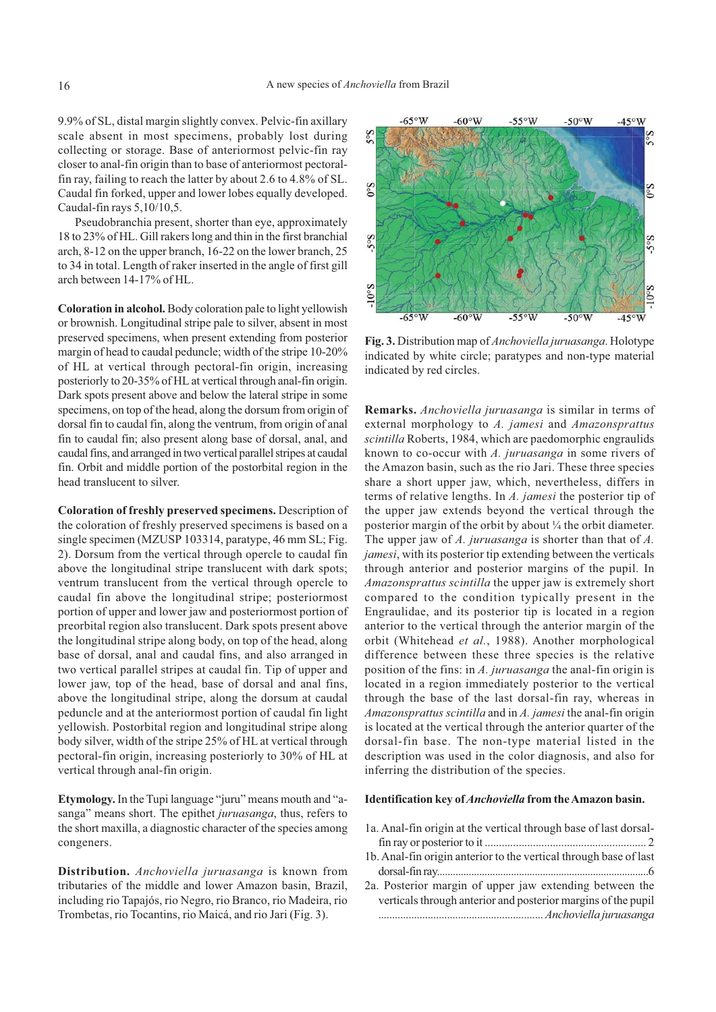9.9% of SL, distal margin slightly convex. Pelvic-fin axillary scale absent in most specimens, probably lost during collecting or storage. Base of anteriormost pelvic-fin ray closer to anal-fin origin than to base of anteriormost pectoralfin ray, failing to reach the latter by about 2.6 to 4.8% of SL. Caudal fin forked, upper and lower lobes equally developed. Caudal-fin rays 5,10/10,5.

Pseudobranchia present, shorter than eye, approximately 18 to 23% of HL. Gill rakers long and thin in the first branchial arch, 8-12 on the upper branch, 16-22 on the lower branch, 25 to 34 in total. Length of raker inserted in the angle of first gill arch between 14-17% of HL.

**Coloration in alcohol.** Body coloration pale to light yellowish or brownish. Longitudinal stripe pale to silver, absent in most preserved specimens, when present extending from posterior margin of head to caudal peduncle; width of the stripe 10-20% of HL at vertical through pectoral-fin origin, increasing posteriorly to 20-35% of HL at vertical through anal-fin origin. Dark spots present above and below the lateral stripe in some specimens, on top of the head, along the dorsum from origin of dorsal fin to caudal fin, along the ventrum, from origin of anal fin to caudal fin; also present along base of dorsal, anal, and caudal fins, and arranged in two vertical parallel stripes at caudal fin. Orbit and middle portion of the postorbital region in the head translucent to silver.

**Coloration of freshly preserved specimens.** Description of the coloration of freshly preserved specimens is based on a single specimen (MZUSP 103314, paratype, 46 mm SL; Fig. 2). Dorsum from the vertical through opercle to caudal fin above the longitudinal stripe translucent with dark spots; ventrum translucent from the vertical through opercle to caudal fin above the longitudinal stripe; posteriormost portion of upper and lower jaw and posteriormost portion of preorbital region also translucent. Dark spots present above the longitudinal stripe along body, on top of the head, along base of dorsal, anal and caudal fins, and also arranged in two vertical parallel stripes at caudal fin. Tip of upper and lower jaw, top of the head, base of dorsal and anal fins, above the longitudinal stripe, along the dorsum at caudal peduncle and at the anteriormost portion of caudal fin light yellowish. Postorbital region and longitudinal stripe along body silver, width of the stripe 25% of HL at vertical through pectoral-fin origin, increasing posteriorly to 30% of HL at vertical through anal-fin origin.

**Etymology.** In the Tupi language "juru" means mouth and "asanga" means short. The epithet *juruasanga*, thus, refers to the short maxilla, a diagnostic character of the species among congeners.

**Distribution.** *Anchoviella juruasanga* is known from tributaries of the middle and lower Amazon basin, Brazil, including rio Tapajós, rio Negro, rio Branco, rio Madeira, rio Trombetas, rio Tocantins, rio Maicá, and rio Jari (Fig. 3).



**Fig. 3.** Distribution map of *Anchoviella juruasanga*. Holotype indicated by white circle; paratypes and non-type material indicated by red circles.

**Remarks.** *Anchoviella juruasanga* is similar in terms of external morphology to *A. jamesi* and *Amazonsprattus scintilla* Roberts, 1984, which are paedomorphic engraulids known to co-occur with *A. juruasanga* in some rivers of the Amazon basin, such as the rio Jari. These three species share a short upper jaw, which, nevertheless, differs in terms of relative lengths. In *A. jamesi* the posterior tip of the upper jaw extends beyond the vertical through the posterior margin of the orbit by about ¼ the orbit diameter. The upper jaw of *A. juruasanga* is shorter than that of *A. jamesi*, with its posterior tip extending between the verticals through anterior and posterior margins of the pupil. In *Amazonsprattus scintilla* the upper jaw is extremely short compared to the condition typically present in the Engraulidae, and its posterior tip is located in a region anterior to the vertical through the anterior margin of the orbit (Whitehead *et al.*, 1988). Another morphological difference between these three species is the relative position of the fins: in *A. juruasanga* the anal-fin origin is located in a region immediately posterior to the vertical through the base of the last dorsal-fin ray, whereas in *Amazonsprattus scintilla* and in *A. jamesi* the anal-fin origin is located at the vertical through the anterior quarter of the dorsal-fin base. The non-type material listed in the description was used in the color diagnosis, and also for inferring the distribution of the species.

#### **Identification key of** *Anchoviella* **from the Amazon basin.**

| 1a. Anal-fin origin at the vertical through base of last dorsal-  |
|-------------------------------------------------------------------|
|                                                                   |
| 1b. Anal-fin origin anterior to the vertical through base of last |
|                                                                   |
| 2a. Posterior margin of upper jaw extending between the           |
| verticals through anterior and posterior margins of the pupil     |
|                                                                   |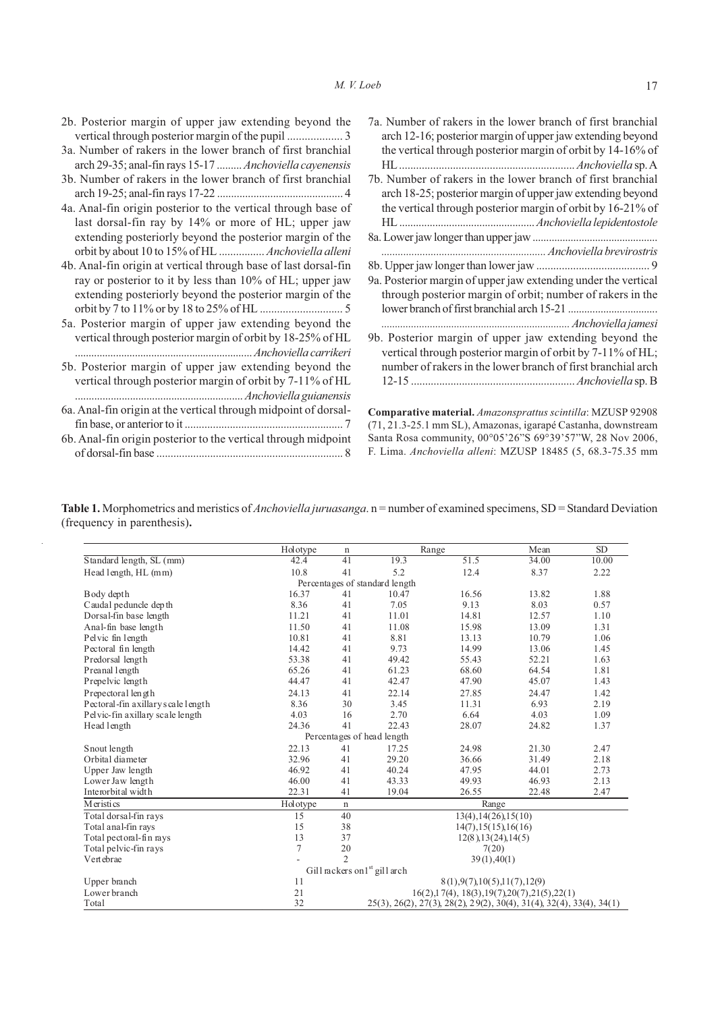| 2b. Posterior margin of upper jaw extending beyond the                                                                                                                                         | 7a. Number of rakers in the lower branch of first branchial                                                                                                                                                                                             |
|------------------------------------------------------------------------------------------------------------------------------------------------------------------------------------------------|---------------------------------------------------------------------------------------------------------------------------------------------------------------------------------------------------------------------------------------------------------|
|                                                                                                                                                                                                | arch 12-16; posterior margin of upper jaw extending beyond                                                                                                                                                                                              |
| 3a. Number of rakers in the lower branch of first branchial                                                                                                                                    | the vertical through posterior margin of orbit by 14-16% of                                                                                                                                                                                             |
| arch 29-35; anal-fin rays 15-17  Anchoviella cayenensis                                                                                                                                        |                                                                                                                                                                                                                                                         |
| 3b. Number of rakers in the lower branch of first branchial                                                                                                                                    | 7b. Number of rakers in the lower branch of first branchial                                                                                                                                                                                             |
|                                                                                                                                                                                                | arch 18-25; posterior margin of upper jaw extending beyond                                                                                                                                                                                              |
| 4a. Anal-fin origin posterior to the vertical through base of                                                                                                                                  | the vertical through posterior margin of orbit by 16-21% of                                                                                                                                                                                             |
| last dorsal-fin ray by 14% or more of HL; upper jaw                                                                                                                                            |                                                                                                                                                                                                                                                         |
| extending posteriorly beyond the posterior margin of the                                                                                                                                       |                                                                                                                                                                                                                                                         |
| orbit by about 10 to 15% of HL  Anchoviella alleni                                                                                                                                             |                                                                                                                                                                                                                                                         |
| 4b. Anal-fin origin at vertical through base of last dorsal-fin                                                                                                                                |                                                                                                                                                                                                                                                         |
| ray or posterior to it by less than 10% of HL; upper jaw                                                                                                                                       | 9a. Posterior margin of upper jaw extending under the vertical                                                                                                                                                                                          |
| extending posteriorly beyond the posterior margin of the                                                                                                                                       | through posterior margin of orbit; number of rakers in the                                                                                                                                                                                              |
|                                                                                                                                                                                                |                                                                                                                                                                                                                                                         |
| 5a. Posterior margin of upper jaw extending beyond the                                                                                                                                         |                                                                                                                                                                                                                                                         |
| vertical through posterior margin of orbit by 18-25% of HL                                                                                                                                     | 9b. Posterior margin of upper jaw extending beyond the                                                                                                                                                                                                  |
|                                                                                                                                                                                                | vertical through posterior margin of orbit by 7-11% of HL;                                                                                                                                                                                              |
| 5b. Posterior margin of upper jaw extending beyond the                                                                                                                                         | number of rakers in the lower branch of first branchial arch                                                                                                                                                                                            |
| vertical through posterior margin of orbit by 7-11% of HL<br>6a. Anal-fin origin at the vertical through midpoint of dorsal-<br>6b. Anal-fin origin posterior to the vertical through midpoint | Comparative material. Amazonsprattus scintilla: MZUSP 92908<br>(71, 21.3-25.1 mm SL), Amazonas, igarapé Castanha, downstream<br>Santa Rosa community, 00°05'26"S 69°39'57"W, 28 Nov 2006,<br>F. Lima. Anchoviella alleni: MZUSP 18485 (5, 68.3-75.35 mm |

Table 1. Morphometrics and meristics of *Anchoviella juruasanga*. n = number of examined specimens, SD = Standard Deviation (frequency in parenthesis)**.**

l,

|                                     | Holotype | $\mathbf n$    |                                                                      | Range                           |       | <b>SD</b> |  |  |
|-------------------------------------|----------|----------------|----------------------------------------------------------------------|---------------------------------|-------|-----------|--|--|
| Standard length, SL (mm)            | 42.4     | 41             | 19.3                                                                 | 51.5                            | 34.00 | 10.00     |  |  |
| Head length, HL (mm)                | 10.8     | 41             | 5.2                                                                  | 12.4                            | 8.37  | 2.22      |  |  |
| Percentages of standard length      |          |                |                                                                      |                                 |       |           |  |  |
| Body depth                          | 16.37    | 41             | 10.47                                                                | 16.56                           | 13.82 | 1.88      |  |  |
| Caudal peduncle depth               | 8.36     | 41             | 7.05                                                                 | 9.13                            | 8.03  | 0.57      |  |  |
| Dorsal-fin base length              | 11.21    | 41             | 11.01                                                                | 14.81                           | 12.57 | 1.10      |  |  |
| Anal-fin base length                | 11.50    | 41             | 11.08                                                                | 15.98                           | 13.09 | 1.31      |  |  |
| Pelvic fin length                   | 10.81    | 41             | 8.81                                                                 | 13.13                           | 10.79 | 1.06      |  |  |
| Pectoral fin length                 | 14.42    | 41             | 9.73                                                                 | 14.99                           | 13.06 | 1.45      |  |  |
| Predorsal length                    | 53.38    | 41             | 49.42                                                                | 55.43                           | 52.21 | 1.63      |  |  |
| Preanal length                      | 65.26    | 41             | 61.23                                                                | 68.60                           | 64.54 | 1.81      |  |  |
| Prepelvic length                    | 44.47    | 41             | 42.47                                                                | 47.90                           | 45.07 | 1.43      |  |  |
| Prepectoral length                  | 24.13    | 41             | 22.14                                                                | 27.85                           | 24.47 | 1.42      |  |  |
| Pectoral-fin axillary s cale length | 8.36     | 30             | 3.45                                                                 | 11.31                           | 6.93  | 2.19      |  |  |
| Pel vic-fin axillary scale length   | 4.03     | 16             | 2.70                                                                 | 6.64                            | 4.03  | 1.09      |  |  |
| Head length                         | 24.36    | 41             | 22.43                                                                | 28.07                           | 24.82 | 1.37      |  |  |
|                                     |          |                | Percentages of head length                                           |                                 |       |           |  |  |
| Snout length                        | 22.13    | 41             | 17.25                                                                | 24.98                           | 21.30 | 2.47      |  |  |
| Orbital diameter                    | 32.96    | 41             | 29.20                                                                | 36.66                           | 31.49 | 2.18      |  |  |
| Upper Jaw length                    | 46.92    | 41             | 40.24                                                                | 47.95                           | 44.01 | 2.73      |  |  |
| Lower Jaw length                    | 46.00    | 41             | 43.33                                                                | 49.93                           | 46.93 | 2.13      |  |  |
| Interorbital width                  | 22.31    | 41             | 19.04                                                                | 26.55                           | 22.48 | 2.47      |  |  |
| M eristi cs                         | Holotype | $\mathbf n$    |                                                                      | Range                           |       |           |  |  |
| Total dorsal-fin rays               | 15       | 40             |                                                                      | $13(4)$ , $14(26)$ , $15(10)$   |       |           |  |  |
| Total anal-fin rays                 | 15       | 38             |                                                                      | 14(7), 15(15), 16(16)           |       |           |  |  |
| Total pectoral-fin rays             | 13       | 37             |                                                                      | 12(8), 13(24), 14(5)            |       |           |  |  |
| Total pelvic-fin rays               | 7        | 20             |                                                                      | 7(20)                           |       |           |  |  |
| Vertebrae                           |          | $\overline{c}$ |                                                                      | 39(1), 40(1)                    |       |           |  |  |
|                                     |          |                | Gill rackers on <sup>1st</sup> gill arch                             |                                 |       |           |  |  |
| Upper branch                        | 11       |                |                                                                      | 8(1), 9(7), 10(5), 11(7), 12(9) |       |           |  |  |
| Lower branch                        | 21       |                | $16(2), 17(4), 18(3), 19(7), 20(7), 21(5), 22(1)$                    |                                 |       |           |  |  |
| Total                               | 32       |                | 25(3), 26(2), 27(3), 28(2), 29(2), 30(4), 31(4), 32(4), 33(4), 34(1) |                                 |       |           |  |  |